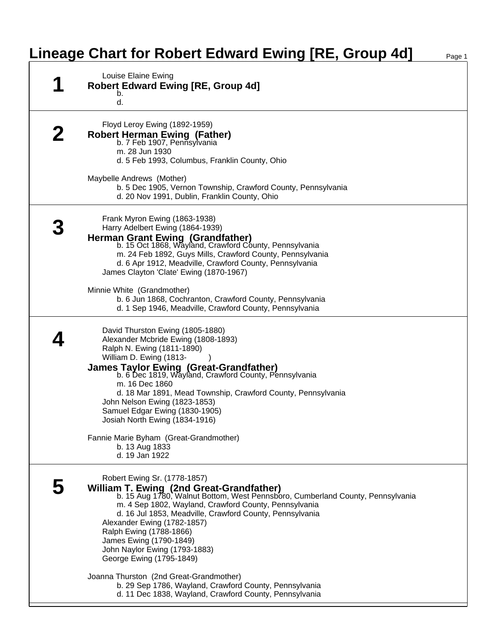## **Lineage Chart for Robert Edward Ewing [RE, Group 4d]**

| Louise Elaine Ewing<br><b>Robert Edward Ewing [RE, Group 4d]</b><br>b.<br>d.                                                                                                                                                                                                                                                                                                                                                                                                                                                                                                                     |
|--------------------------------------------------------------------------------------------------------------------------------------------------------------------------------------------------------------------------------------------------------------------------------------------------------------------------------------------------------------------------------------------------------------------------------------------------------------------------------------------------------------------------------------------------------------------------------------------------|
| Floyd Leroy Ewing (1892-1959)<br><b>Robert Herman Ewing (Father)</b><br>b. 7 Feb 1907, Pennsylvania<br>m. 28 Jun 1930<br>d. 5 Feb 1993, Columbus, Franklin County, Ohio<br>Maybelle Andrews (Mother)<br>b. 5 Dec 1905, Vernon Township, Crawford County, Pennsylvania<br>d. 20 Nov 1991, Dublin, Franklin County, Ohio                                                                                                                                                                                                                                                                           |
| Frank Myron Ewing (1863-1938)<br>Harry Adelbert Ewing (1864-1939)<br>Herman Grant Ewing (Grandfather)<br>b. 15 Oct 1868, Wayland, Crawford County, Pennsylvania<br>m. 24 Feb 1892, Guys Mills, Crawford County, Pennsylvania<br>d. 6 Apr 1912, Meadville, Crawford County, Pennsylvania<br>James Clayton 'Clate' Ewing (1870-1967)<br>Minnie White (Grandmother)<br>b. 6 Jun 1868, Cochranton, Crawford County, Pennsylvania<br>d. 1 Sep 1946, Meadville, Crawford County, Pennsylvania                                                                                                          |
| David Thurston Ewing (1805-1880)<br>Alexander Mcbride Ewing (1808-1893)<br>Ralph N. Ewing (1811-1890)<br>William D. Ewing (1813-<br><b>James Taylor Ewing (Great-Grandfather)</b><br>b. 6 Dec 1819, Wayland, Crawford County, Pennsylvania<br>m. 16 Dec 1860<br>d. 18 Mar 1891, Mead Township, Crawford County, Pennsylvania<br>John Nelson Ewing (1823-1853)<br>Samuel Edgar Ewing (1830-1905)<br>Josiah North Ewing (1834-1916)<br>Fannie Marie Byham (Great-Grandmother)<br>b. 13 Aug 1833<br>d. 19 Jan 1922                                                                                  |
| Robert Ewing Sr. (1778-1857)<br>William T. Ewing (2nd Great-Grandfather)<br>b. 15 Aug 1780, Walnut Bottom, West Pennsboro, Cumberland County, Pennsylvania<br>m. 4 Sep 1802, Wayland, Crawford County, Pennsylvania<br>d. 16 Jul 1853, Meadville, Crawford County, Pennsylvania<br>Alexander Ewing (1782-1857)<br>Ralph Ewing (1788-1866)<br>James Ewing (1790-1849)<br>John Naylor Ewing (1793-1883)<br>George Ewing (1795-1849)<br>Joanna Thurston (2nd Great-Grandmother)<br>b. 29 Sep 1786, Wayland, Crawford County, Pennsylvania<br>d. 11 Dec 1838, Wayland, Crawford County, Pennsylvania |